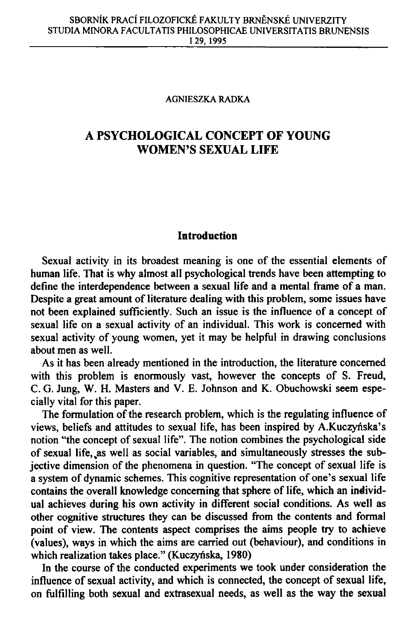#### **AGNIESZKA RADKA**

# **A PSYCHOLOGICAL CONCEPT OF YOUNG WOMEN'S SEXUAL LIFE**

#### **Introduction**

Sexual activity in its broadest meaning is one of the essential elements of human life. That is why almost all psychological trends have been attempting to define the interdependence between a sexual life and a mental frame of a man. Despite a great amount of literature dealing with this problem, some issues have not been explained sufficiently. Such an issue is the influence of a concept of sexual life on a sexual activity of an individual. This work is concerned with sexual activity of young women, yet it may be helpful in drawing conclusions about men as well.

As it has been already mentioned in the introduction, the literature concerned with this problem is enormously vast, however the concepts of S. Freud, C. G. Jung, W. H. Masters and V. E. Johnson and K. Obuchowski seem especially vital for this paper.

The formulation of the research problem, which is the regulating influence of views, beliefs and attitudes to sexual life, has been inspired by A.Kuczyńska's notion "the concept of sexual life". The notion combines the psychological side of sexual life,,as well as social variables, and simultaneously stresses the subjective dimension of the phenomena in question. "The concept of sexual life is a system of dynamic schemes. This cognitive representation of one's sexual life contains the overall knowledge concerning that sphere of life, which an individual achieves during his own activity in different social conditions. As well as other cognitive structures they can be discussed from the contents and formal point of view. The contents aspect comprises the aims people try to achieve (values), ways in which the aims are carried out (behaviour), and conditions in which realization takes place." (Kuczyńska, 1980)

In the course of the conducted experiments we took under consideration the influence of sexual activity, and which is connected, the concept of sexual life, on fulfilling both sexual and extrasexual needs, as well as the way the sexual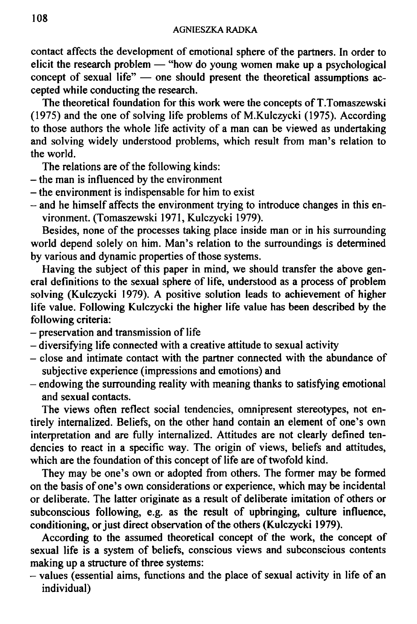contact affects the development of emotional sphere of the partners. In order to elicit the research problem — "how do young women make up a psychological concept of sexual life" — one should present the theoretical assumptions accepted while conducting the research.

The theoretical foundation for this work were the concepts of T.Tomaszewski (1975) and the one of solving life problems of M.Kulczycki (1975). According to those authors the whole life activity of a man can be viewed as undertaking and solving widely understood problems, which result from man's relation to the world.

The relations are of the following kinds:

- the man is influenced by the environment
- the environment is indispensable for him to exist
- and he himself affects the environment trying to introduce changes in this environment. (Tomaszewski 1971, Kulczycki 1979).

Besides, none of the processes taking place inside man or in his surrounding world depend solely on him. Man's relation to the surroundings is determined by various and dynamic properties of those systems.

Having the subject of this paper in mind, we should transfer the above general definitions to the sexual sphere of life, understood as a process of problem solving (Kulczycki 1979). A positive solution leads to achievement of higher life value. Following Kulczycki the higher life value has been described by the following criteria:

- preservation and transmission of life
- diversifying life connected with a creative attitude to sexual activity
- close and intimate contact with the partner connected with the abundance of subjective experience (impressions and emotions) and
- endowing the surrounding reality with meaning thanks to satisfying emotional and sexual contacts.

The views often reflect social tendencies, omnipresent stereotypes, not entirely internalized. Beliefs, on the other hand contain an element of one's own interpretation and are fully internalized. Attitudes are not clearly defined tendencies to react in a specific way. The origin of views, beliefs and attitudes, which are the foundation of this concept of life are of twofold kind.

They may be one's own or adopted from others. The former may be formed on the basis of one's own considerations or experience, which may be incidental or deliberate. The latter originate as a result of deliberate imitation of others or subconscious following, e.g. as the result of upbringing, culture influence, conditioning, or just direct observation of the others (Kulczycki 1979).

According to the assumed theoretical concept of the work, the concept of sexual life is a system of beliefs, conscious views and subconscious contents making up a structure of three systems:

- values (essential aims, functions and the place of sexual activity in life of an individual)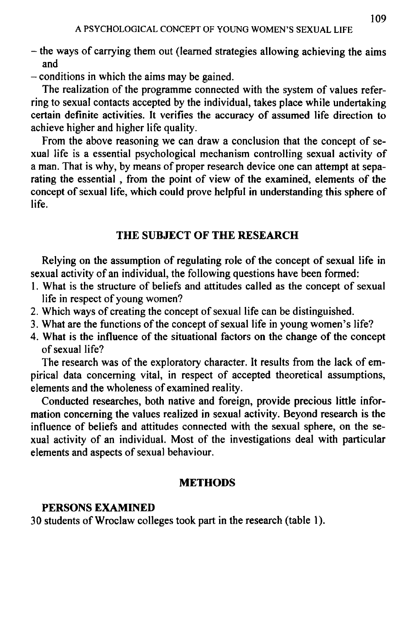- the ways of carrying them out (learned strategies allowing achieving the aims and
- conditions in which the aims may be gained.

The realization of the programme connected with the system of values referring to sexual contacts accepted by the individual, takes place while undertaking certain definite activities. It verifies the accuracy of assumed life direction to achieve higher and higher life quality.

From the above reasoning we can draw a conclusion that the concept of sexual life is a essential psychological mechanism controlling sexual activity of a man. That is why, by means of proper research device one can attempt at separating the essential , from the point of view of the examined, elements of the concept of sexual life, which could prove helpful in understanding this sphere of life.

# **THE SUBJECT OF THE RESEARCH**

Relying on the assumption of regulating role of the concept of sexual life in sexual activity of an individual, the following questions have been formed:

- 1. What is the structure of beliefs and attitudes called as the concept of sexual life in respect of young women?
- 2. Which ways of creating the concept of sexual life can be distinguished.
- 3. What are the functions of the concept of sexual life in young women's life?
- 4. What is the influence of the situational factors on the change of the concept of sexual life?

The research was of the exploratory character. It results from the lack of empirical data concerning vital, in respect of accepted theoretical assumptions, elements and the wholeness of examined reality.

Conducted researches, both native and foreign, provide precious little information concerning the values realized in sexual activity. Beyond research is the influence of beliefs and attitudes connected with the sexual sphere, on the sexual activity of an individual. Most of the investigations deal with particular elements and aspects of sexual behaviour.

# **METHODS**

# **PERSONS EXAMINED**

30 students of Wroclaw colleges took part in the research (table 1).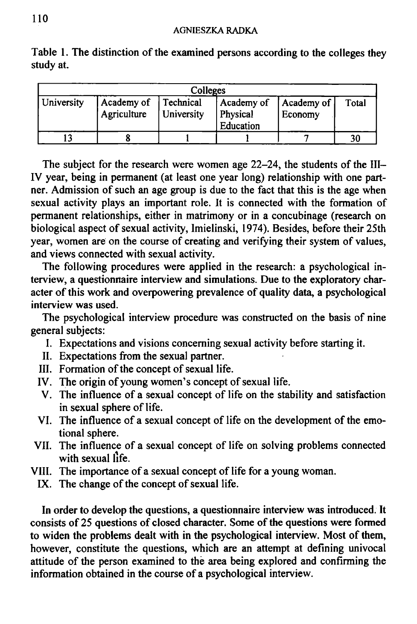| Colleges   |                           |                         |                                     |                       |       |  |  |
|------------|---------------------------|-------------------------|-------------------------------------|-----------------------|-------|--|--|
| University | Academy of<br>Agriculture | Technical<br>University | Academy of<br>Physical<br>Education | Academy of<br>Economy | Total |  |  |
|            |                           |                         |                                     |                       | 30    |  |  |

Table 1. The distinction of the examined persons according to the colleges they study at.

The subject for the research were women age 22-24, the students of the III-IV year, being in permanent (at least one year long) relationship with one partner. Admission of such an age group is due to the fact that this is the age when sexual activity plays an important role. It is connected with the formation of permanent relationships, either in matrimony or in a concubinage (research on biological aspect of sexual activity, Imielinski, 1974). Besides, before their 25th year, women are on the course of creating and verifying their system of values, and views connected with sexual activity.

The following procedures were applied in the research: a psychological interview, a questionnaire interview and simulations. Due to the exploratory character of this work and overpowering prevalence of quality data, a psychological interview was used.

The psychological interview procedure was constructed on the basis of nine general subjects:

- I. Expectations and visions concerning sexual activity before starting it.
- II. Expectations from the sexual partner.
- III. Formation of the concept of sexual life.
- IV. The origin of young women's concept of sexual life.
- V. The influence of a sexual concept of life on the stability and satisfaction in sexual sphere of life.
- VI. The influence of a sexual concept of life on the development of the emotional sphere.
- VII. The influence of a sexual concept of life on solving problems connected with sexual life.
- VIII. The importance of a sexual concept of life for a young woman.
	- IX. The change of the concept of sexual life.

In order to develop the questions, a questionnaire interview was introduced. It consists of 25 questions of closed character. Some of the questions were formed to widen the problems dealt with in the psychological interview. Most of them, however, constitute the questions, which are an attempt at defining univocal attitude of the person examined to the area being explored and confirming the information obtained in the course of a psychological interview.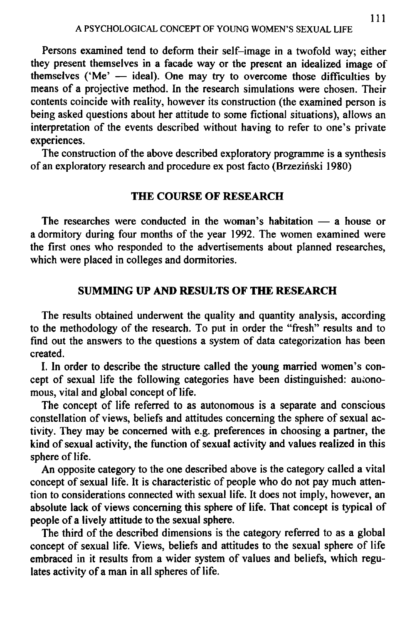Persons examined tend to deform their self-image in a twofold way; either they present themselves in a facade way or the present an idealized image of themselves ('Me' — ideal). One may try to overcome those difficulties by means of a projective method. In the research simulations were chosen. Their contents coincide with reality, however its construction (the examined person is being asked questions about her attitude to some fictional situations), allows an interpretation of the events described without having to refer to one's private experiences.

The construction of the above described exploratory programme is a synthesis of an exploratory research and procedure ex post facto (Brzezinski 1980)

#### **THE COURSE OF RESEARCH**

The researches were conducted in the woman's habitation — a house or a dormitory during four months of the year 1992. The women examined were the first ones who responded to the advertisements about planned researches, which were placed in colleges and dormitories.

### **SUMMING UP AND RESULTS OF THE RESEARCH**

The results obtained underwent the quality and quantity analysis, according to the methodology of the research. To put in order the "fresh" results and to find out the answers to the questions a system of data categorization has been created.

I. In order to describe the structure called the young married women's concept of sexual life the following categories have been distinguished: autonomous, vital and global concept of life.

The concept of life referred to as autonomous is a separate and conscious constellation of views, beliefs and attitudes concerning the sphere of sexual activity. They may be concerned with e.g. preferences in choosing a partner, the kind of sexual activity, the function of sexual activity and values realized in this sphere of life.

An opposite category to the one described above is the category called a vital concept of sexual life. It is characteristic of people who do not pay much attention to considerations connected with sexual life. It does not imply, however, an absolute lack of views concerning this sphere of life. That concept is typical of people of a lively attitude to the sexual sphere.

The third of the described dimensions is the category referred to as a global concept of sexual life. Views, beliefs and attitudes to the sexual sphere of life embraced in it results from a wider system of values and beliefs, which regulates activity of a man in all spheres of life.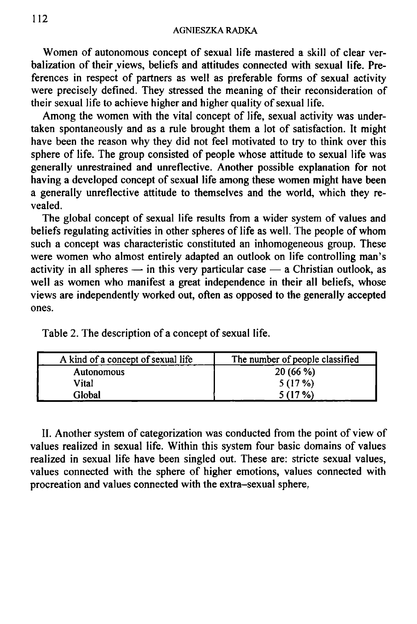Women of autonomous concept of sexual life mastered a skill of clear verbalization of their views, beliefs and attitudes connected with sexual life. Preferences in respect of partners as well as preferable forms of sexual activity were precisely defined. They stressed the meaning of their reconsideration of their sexual life to achieve higher and higher quality of sexual life.

Among the women with the vital concept of life, sexual activity was undertaken spontaneously and as a rule brought them a lot of satisfaction. It might have been the reason why they did not feel motivated to try to think over this sphere of life. The group consisted of people whose attitude to sexual life was generally unrestrained and unreflective. Another possible explanation for not having a developed concept of sexual life among these women might have been a generally unreflective attitude to themselves and the world, which they revealed.

The global concept of sexual life results from a wider system of values and beliefs regulating activities in other spheres of life as well. The people of whom such a concept was characteristic constituted an inhomogeneous group. These were women who almost entirely adapted an outlook on life controlling man's activity in all spheres — in this very particular case — a Christian outlook, as well as women who manifest a great independence in their all beliefs, whose views are independently worked out, often as opposed to the generally accepted ones.

| A kind of a concept of sexual life | The number of people classified |
|------------------------------------|---------------------------------|
| <b>Autonomous</b>                  | 20(66%)                         |
| Vital                              | 5(17%)                          |
| Global                             | 5 (17 %)                        |

Table 2. The description of a concept of sexual life.

II. Another system of categorization was conducted from the point of view of values realized in sexual life. Within this system four basic domains of values realized in sexual life have been singled out. These are: stricte sexual values, values connected with the sphere of higher emotions, values connected with procreation and values connected with the extra-sexual sphere.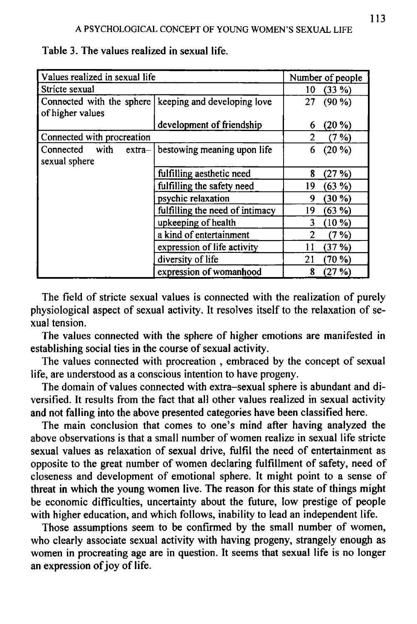| Values realized in sexual life | Number of people                                        |                |
|--------------------------------|---------------------------------------------------------|----------------|
| Stricte sexual                 | $(33\%)$<br>10                                          |                |
|                                | Connected with the sphere   keeping and developing love | 27<br>$(90\%)$ |
| of higher values               |                                                         |                |
|                                | development of friendship                               | $(20 \%)$<br>6 |
| Connected with procreation     | 2<br>(7%)                                               |                |
| with<br>Connected<br>$extra-$  | bestowing meaning upon life                             | $(20\%)$<br>6  |
| sexual sphere                  |                                                         |                |
|                                | fulfilling aesthetic need                               | 8<br>(27%)     |
|                                | fulfilling the safety need                              | 19<br>(63%)    |
|                                | psychic relaxation                                      | 9<br>$(30\%)$  |
|                                | fulfilling the need of intimacy                         | 19<br>(63%)    |
|                                | upkeeping of health                                     | 3<br>$(10\%)$  |
|                                | a kind of entertainment                                 | (7 %)          |
|                                | expression of life activity                             | (37%)<br>11    |
|                                | diversity of life                                       | 21<br>$(70\%)$ |
|                                | expression of womanhood                                 | 8<br>(27%)     |

Table 3. The values realized in sexual life.

The field of stricte sexual values is connected with the realization of purely physiological aspect of sexual activity. It resolves itself to the relaxation of sexual tension.

The values connected with the sphere of higher emotions are manifested in establishing social ties in the course of sexual activity.

The values connected with procreation , embraced by the concept of sexual life, are understood as a conscious intention to have progeny.

The domain of values connected with extra-sexual sphere is abundant and diversified. It results from the fact that all other values realized in sexual activity and not falling into the above presented categories have been classified here.

The main conclusion that comes to one's mind after having analyzed the above observations is that a small number of women realize in sexual life stricte sexual values as relaxation of sexual drive, fulfil the need of entertainment as opposite to the great number of women declaring fulfillment of safety, need of closeness and development of emotional sphere. It might point to a sense of threat in which the young women live. The reason for this state of things might be economic difficulties, uncertainty about the future, low prestige of people with higher education, and which follows, inability to lead an independent life.

Those assumptions seem to be confirmed by the small number of women, who clearly associate sexual activity with having progeny, strangely enough as women in procreating age are in question. It seems that sexual life is no longer an expression of joy of life.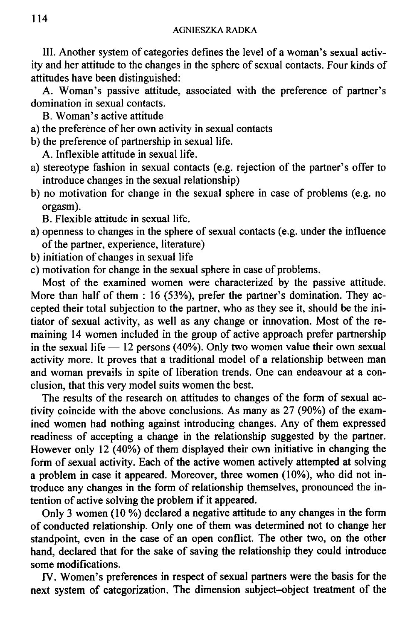III. Another system of categories defines the level of a woman's sexual activity and her attitude to the changes in the sphere of sexual contacts. Four kinds of attitudes have been distinguished:

A. Woman's passive attitude, associated with the preference of partner's domination in sexual contacts.

B. Woman's active attitude

- a) the preference of her own activity in sexual contacts
- b) the preference of partnership in sexual life.

A. Inflexible attitude in sexual life.

- a) stereotype fashion in sexual contacts (e.g. rejection of the partner's offer to introduce changes in the sexual relationship)
- b) no motivation for change in the sexual sphere in case of problems (e.g. no orgasm).

B. Flexible attitude in sexual life.

- a) openness to changes in the sphere of sexual contacts (e.g. under the influence of the partner, experience, literature)
- b) initiation of changes in sexual life
- c) motivation for change in the sexual sphere in case of problems.

Most of the examined women were characterized by the passive attitude. More than half of them : 16 (53%), prefer the partner's domination. They accepted their total subjection to the partner, who as they see it, should be the initiator of sexual activity, as well as any change or innovation. Most of the remaining 14 women included in the group of active approach prefer partnership in the sexual life **—** 12 persons (40%). Only two women value their own sexual activity more. It proves that a traditional model of a relationship between man and woman prevails in spite of liberation trends. One can endeavour at a conclusion, that this very model suits women the best.

The results of the research on attitudes to changes of the form of sexual activity coincide with the above conclusions. As many as 27 (90%) of the examined women had nothing against introducing changes. Any of them expressed readiness of accepting a change in the relationship suggested by the partner. However only 12 (40%) of them displayed their own initiative in changing the form of sexual activity. Each of the active women actively attempted at solving a problem in case it appeared. Moreover, three women (10%), who did not introduce any changes in the form of relationship themselves, pronounced the intention of active solving the problem if it appeared.

Only 3 women (10 %) declared a negative attitude to any changes in the form of conducted relationship. Only one of them was determined not to change her standpoint, even in the case of an open conflict. The other two, on the other hand, declared that for the sake of saving the relationship they could introduce some modifications.

IV. Women's preferences in respect of sexual partners were the basis for the next system of categorization. The dimension subject-object treatment of the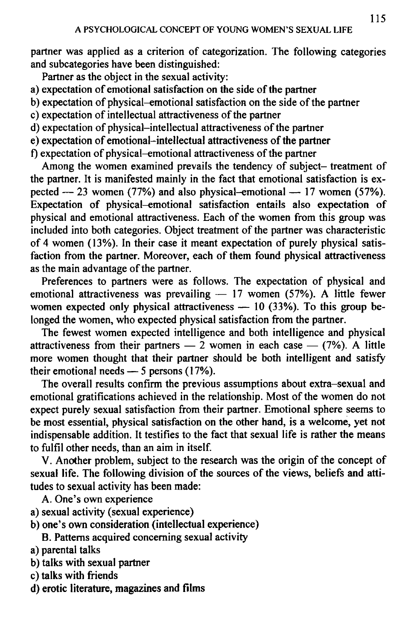partner was applied as a criterion of categorization. The following categories and subcategories have been distinguished:

Partner as the object in the sexual activity:

- a) expectation of emotional satisfaction on the side of the partner
- b) expectation of physical-emotional satisfaction on the side of the partner
- c) expectation of intellectual attractiveness of the partner
- d) expectation of physical-intellectual attractiveness of the partner
- e) expectation of emotional-intellectual attractiveness of the partner
- f) expectation of physical-emotional attractiveness of the partner

Among the women examined prevails the tendency of subject- treatment of the partner. It is manifested mainly in the fact that emotional satisfaction is expected — 23 women (77%) and also physical-emotional — 17 women (57%). Expectation of physical-emotional satisfaction entails also expectation of physical and emotional attractiveness. Each of the women from this group was included into both categories. Object treatment of the partner was characteristic of 4 women (13%). In their case it meant expectation of purely physical satisfaction from the partner. Moreover, each of them found physical attractiveness as the main advantage of the partner.

Preferences to partners were as follows. The expectation of physical and emotional attractiveness was prevailing — 17 women (57%). A little fewer women expected only physical attractiveness — 10 (33%). To this group belonged the women, who expected physical satisfaction from the partner.

The fewest women expected intelligence and both intelligence and physical attractiveness from their partners — 2 women in each case —  $(7%)$ . A little more women thought that their partner should be both intelligent and satisfy their emotional needs — 5 persons (17%).

The overall results confirm the previous assumptions about extra-sexual and emotional gratifications achieved in the relationship. Most of the women do not expect purely sexual satisfaction from their partner. Emotional sphere seems to be most essential, physical satisfaction on the other hand, is a welcome, yet not indispensable addition. It testifies to the fact that sexual life is rather the means to fulfil other needs, than an aim in itself.

V. Another problem, subject to the research was the origin of the concept of sexual life. The following division of the sources of the views, beliefs and attitudes to sexual activity has been made:

A. One's own experience

- a) sexual activity (sexual experience)
- b) one's own consideration (intellectual experience)

B. Patterns acquired concerning sexual activity

- a) parental talks
- b) talks with sexual partner
- c) talks with friends
- d) erotic literature, magazines and films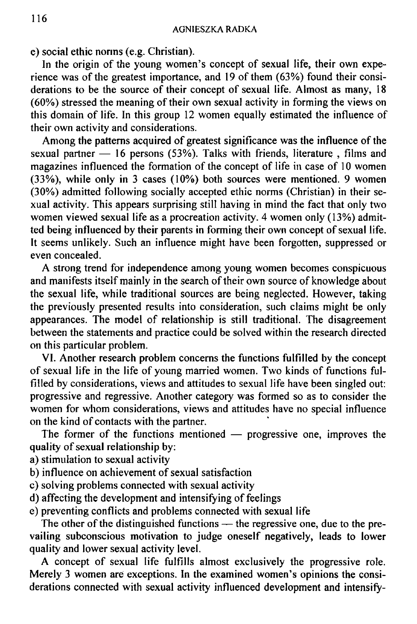e) social ethic norms (e.g. Christian).

In the origin of the young women's concept of sexual life, their own experience was of the greatest importance, and 19 of them (63%) found their considerations to be the source of their concept of sexual life. Almost as many, 18 (60%) stressed the meaning of their own sexual activity in forming the views on this domain of life. In this group 12 women equally estimated the influence of their own activity and considerations.

Among the patterns acquired of greatest significance was the influence of the sexual partner — 16 persons (53%). Talks with friends, literature, films and magazines influenced the formation of the concept of life in case of 10 women (33%), while only in 3 cases (10%) both sources were mentioned. 9 women (30%) admitted following socially accepted ethic norms (Christian) in their sexual activity. This appears surprising still having in mind the fact that only two women viewed sexual life as a procreation activity. 4 women only (13%) admitted being influenced by their parents in forming their own concept of sexual life. It seems unlikely. Such an influence might have been forgotten, suppressed or even concealed.

A strong trend for independence among young women becomes conspicuous and manifests itself mainly in the search of their own source of knowledge about the sexual life, while traditional sources are being neglected. However, taking the previously presented results into consideration, such claims might be only appearances. The model of relationship is still traditional. The disagreement between the statements and practice could be solved within the research directed on this particular problem.

VI. Another research problem concerns the functions fulfilled by the concept of sexual life in the life of young married women. Two kinds of functions fulfilled by considerations, views and attitudes to sexual life have been singled out: progressive and regressive. Another category was formed so as to consider the women for whom considerations, views and attitudes have no special influence on the kind of contacts with the partner.

The former of the functions mentioned — progressive one, improves the quality of sexual relationship by:

- a) stimulation to sexual activity
- b) influence on achievement of sexual satisfaction
- c) solving problems connected with sexual activity
- d) affecting the development and intensifying of feelings
- e) preventing conflicts and problems connected with sexual life

The other of the distinguished functions — the regressive one, due to the prevailing subconscious motivation to judge oneself negatively, leads to lower quality and lower sexual activity level.

A concept of sexual life fulfills almost exclusively the progressive role. Merely 3 women are exceptions. In the examined women's opinions the considerations connected with sexual activity influenced development and intensify-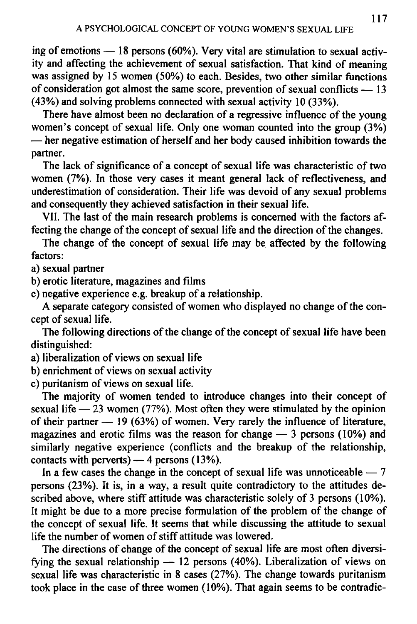ing of emotions — 18 persons (60%). Very vital are stimulation to sexual activity and affecting the achievement of sexual satisfaction. That kind of meaning was assigned by 15 women (50%) to each. Besides, two other similar functions of consideration got almost the same score, prevention of sexual conflicts — 13 (43%) and solving problems connected with sexual activity 10 (33%).

There have almost been no declaration of a regressive influence of the young women's concept of sexual life. Only one woman counted into the group (3%) — her negative estimation of herself and her body caused inhibition towards the partner.

The lack of significance of a concept of sexual life was characteristic of two women (7%). In those very cases it meant general lack of reflectiveness, and underestimation of consideration. Their life was devoid of any sexual problems and consequently they achieved satisfaction in their sexual life.

VII. The last of the main research problems is concerned with the factors affecting the change of the concept of sexual life and the direction of the changes.

The change of the concept of sexual life may be affected by the following factors:

a) sexual partner

b) erotic literature, magazines and films

c) negative experience e.g. breakup of a relationship.

A separate category consisted of women who displayed no change of the concept of sexual life.

The following directions of the change of the concept of sexual life have been distinguished:

- a) liberalization of views on sexual life
- b) enrichment of views on sexual activity

c) puritanism of views on sexual life.

The majority of women tended to introduce changes into their concept of sexual life  $-23$  women (77%). Most often they were stimulated by the opinion of their partner  $-19$  (63%) of women. Very rarely the influence of literature, magazines and erotic films was the reason for change — 3 persons (10%) and similarly negative experience (conflicts and the breakup of the relationship, contacts with perverts) — 4 persons (13%).

In a few cases the change in the concept of sexual life was unnoticeable  $-7$ persons (23%). It is, in a way, a result quite contradictory to the attitudes described above, where stiff attitude was characteristic solely of 3 persons (10%). It might be due to a more precise formulation of the problem of the change of the concept of sexual life. It seems that while discussing the attitude to sexual life the number of women of stiff attitude was lowered.

The directions of change of the concept of sexual life are most often diversifying the sexual relationship — 12 persons (40%). Liberalization of views on sexual life was characteristic in 8 cases (27%). The change towards puritanism took place in the case of three women (10%). That again seems to be contradic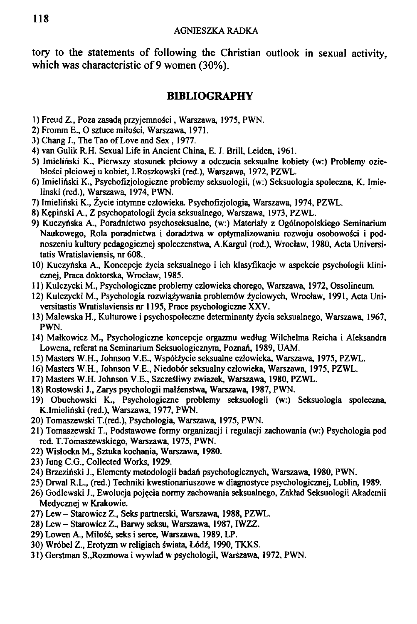tory to the statements of following the Christian outlook in sexual activity, which was characteristic of 9 women (30%).

### **BIBLIOGRAPHY**

- **1) Freud Z., Poza zasada, przyjemnosci, Warszawa, 1975, PWN.**
- **2) Fromm E., O sztuce miloSci, Warszawa, 1971.**
- **3) Chang J., The Tao of Love and Sex , 1977.**
- **4) van Gulik R.H. Sexual Life in Ancient China, E. J. Brill, Leiden, 1961.**
- **5) Imieliriski K., Pierwszy stosunek plciowy a odczucia seksualne kobiety (w:) Problemy ozieblo\$ci plciowej u kobiet, I.Roszkowski (red.), Warszawa, 1972, PZWL.**
- **6) Imieliriski K., Psychofizjologiczne problemy seksuologii, (w:) Seksuologia spoleczna, K. Imielinski (red.), Warszawa, 1974, PWN.**
- **7) Imieliriski K., Zycie intymne czlowieka. Psychofizjologia, Warszawa, 1974, PZWL.**
- **8) K^pinski A., Z psychopatologii zycia seksualnego, Warszawa, 1973, PZWL.**
- **9) Kuczynska A., Poradnictwo psychoseksualne, (w:) Materiary z Ogblnopolskiego Seminarium Naukowego, Rola poradnictwa i doradztwa w optymalizowaniu rozwoju osobowosci i podnoszeniu kultury pedagogicznej spoleczenstwa, A.Kargul (red.), Wroclaw, 1980, Acta Universitatis Wratislaviensis, nr 608..**
- **10) Kuczynska A., Koncepcje zycia seksualnego i ich klasyfikacje w aspekcie psychologii klinicznej, Praca doktorska, Wroclaw, 1985.**
- **11) Kulczycki M., Psychologiczne problemy czlowieka chorego, Warszawa, 1972, Ossolineum.**
- 12) Kulczycki M., Psychologia rozwiąźywania problemów źyciowych, Wrocław, 1991, Acta Uni**versitastis Wratislaviensis nr 1195, Prace psychologiczne XXV.**
- 13) Malewska H., Kulturowe i psychospołeczne determinanty źycia seksualnego, Warszawa, 1967, **PWN.**
- **14) Malkowicz M., Psychologiczne koncepcje orgazmu wedtug Wilchelma Reicha i Aleksandra Lowena, referat na Seminarium Seksuologicznym, Poznan, 1989, UAM.**
- **15) Masters W.H., Johnson V.E., Wsp61zycie seksualne czlowieka, Warszawa, 1975, PZWL.**
- **16) Masters W.H., Johnson V.E., Niedobor seksualny czlowieka, Warszawa, 1975, PZWL.**
- **17) Masters W.H. Johnson V.E., SzczeSliwy zwiazek, Warszawa, 1980, PZWL.**
- **18) Rostowski J., Zarys psychologii malzenstwa, Warszawa, 1987, PWN.**
- **19) Obuchowski K., Psychologiczne problemy seksuologii (w:) Seksuologia spoleczna, K.Imielinski (red.), Warszawa, 1977, PWN.**
- **20) Tomaszewski T.(red.), Psychologia, Warszawa, 1975, PWN.**
- **21) Tomaszewski T., Podstawowe formy organizacji i regulacji zachowania (w:) Psychologia pod red. T.Tomaszewskiego, Warszawa, 1975, PWN.**
- **22) Wislocka M., Sztuka kochania, Warszawa, 1980.**
- **23) Jung C.G., Collected Works, 1929.**
- **24) Brzezinski J., Elementy metodologii badan psychologicznych, Warszawa, 1980, PWN.**
- **25) Drwal R.L., (red.) Techniki kwestionariuszowe w diagnostyce psychologicznej, Lublin, 1989.**
- **26) Godlewski J., Ewolucja poj^cia normy zachowania seksualnego, Zaktad Seksuologii Akademii Medycznej w Krakowie.**
- **27) Lew Starowicz Z., Seks partnerski, Warszawa, 1988, PZWL.**
- **28) Lew Starowicz Z., Barwy seksu, Warszawa, 1987, IWZZ.**
- **29) Lowen A., Milosc, seks i serce, Warszawa, 1989, LP.**
- **30) Wr6bel Z., Erotyzm w religiach S"wiata, L6di, 1990, TKKS.**
- **31) Gerstman S.,Rozmowa i wywiad w psychologii, Warszawa, 1972, PWN.**